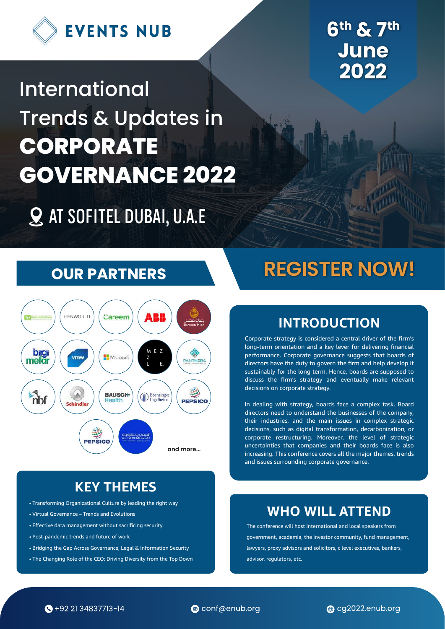

**6th & 7th June 2022**

# International Trends & Updates in **CORPORATE GOVERNANCE 2022**

**Q AT SOFITEL DUBAI, U.A.E** 

# **OUR PARTNERS**



# **KEY THEMES**

- Transforming Organizational Culture by leading the right way
- Virtual Governance Trends and Evolutions
- Effective data management without sacrificing security
- Post-pandemic trends and future of work
- Bridging the Gap Across Governance, Legal & Information Security
- The Changing Role of the CEO: Driving Diversity from the Top Down

# **REGISTER NOW!**

# **INTRODUCTION**

Corporate strategy is considered a central driver of the firm's long-term orientation and a key lever for delivering financial performance. Corporate governance suggests that boards of directors have the duty to govern the firm and help develop it sustainably for the long term. Hence, boards are supposed to discuss the firm's strategy and eventually make relevant decisions on corporate strategy.

In dealing with strategy, boards face a complex task. Board directors need to understand the businesses of the company, their industries, and the main issues in complex strategic decisions, such as digital transformation, decarbonization, or corporate restructuring. Moreover, the level of strategic uncertainties that companies and their boards face is also increasing. This conference covers all the major themes, trends and issues surrounding corporate governance.

# **WHO WILL ATTEND**

The conference will host international and local speakers from government, academia, the investor community, fund management, lawyers, proxy advisors and solicitors, c level executives, bankers, advisor, regulators, etc.



conf@enub.org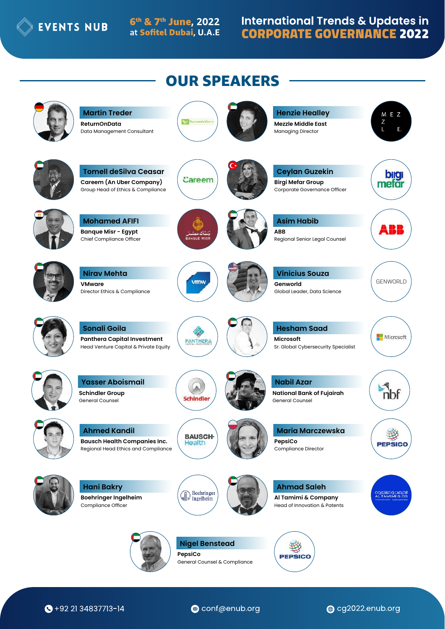

6<sup>th</sup> & 7<sup>th</sup> June, 2022 at Sofitel Dubai, U.A.E

# **International Trends & Updates in CORPORATE GOVERNANCE 2022**



 $\bigodot$  +92 21 34837713-14

conf@enub.org

cg2022.enub.org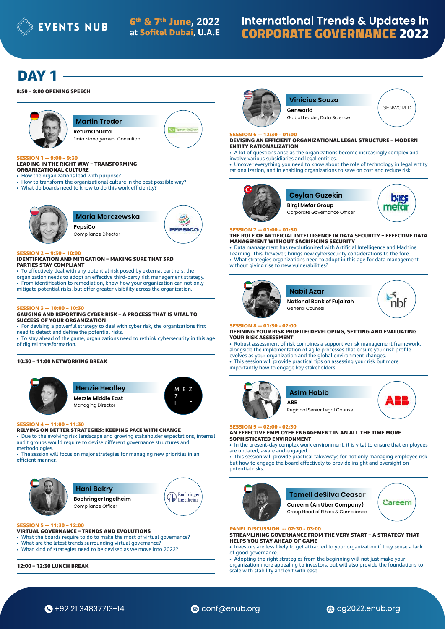**EVENTS NUB**  $6^{th}$  &  $7^{th}$  June, 2022

# **International Trends & Updates in CORPORATE GOVERNANCE 2022**

# DAY<sub>1</sub>

#### 8:50 – 9:00 OPENING SPEECH



**Martin Treder** 

Data Management Consultant **ReturnOnData**



#### SESSION 1 -- 9:00 – 9:30 LEADING IN THE RIGHT WAY – TRANSFORMING ORGANIZATIONAL CULTURE

- How the organizations lead with purpose?
- How to transform the organizational culture in the best possible way?
- What do boards need to know to do this work efficiently?



**Maria Marczewska PepsiCo**



**E** 7

#### SESSION 2 -- 9:30 - 10:00

#### IDENTIFICATION AND MITIGATION – MAKING SURE THAT 3RD PARTIES STAY COMPLIANT

• To effectively deal with any potential risk posed by external partners, the organization needs to adopt an effective third-party risk management strategy. • From identification to remediation, know how your organization can not only mitigate potential risks, but offer greater visibility across the organization.

#### SESSION 3 -- 10:00 – 10:30

#### GAUGING AND REPORTING CYBER RISK – A PROCESS THAT IS VITAL TO SUCCESS OF YOUR ORGANIZATION

- For devising a powerful strategy to deal with cyber risk, the organizations first need to detect and define the potential risks.
- To stay ahead of the game, organizations need to rethink cybersecurity in this age of digital transformation.

#### 10:30 – 11:00 NETWORKING BREAK



# **Henzie Healley**

Managing Director **Mezzle Middle East**



#### RELYING ON BETTER STRATEGIES: KEEPING PACE WITH CHANGE

• Due to the evolving risk landscape and growing stakeholder expectations, internal audit groups would require to devise different governance structures and methodologies

• The session will focus on major strategies for managing new priorities in an efficient manner.



#### SESSION 5 -- 11:30 – 12:00

- VIRTUAL GOVERNANCE TRENDS AND EVOLUTIONS
- What the boards require to do to make the most of virtual governance?
- What are the latest trends surrounding virtual governance?
- What kind of strategies need to be devised as we move into 2022?

12:00 – 12:30 LUNCH BREAK



# **Vinicius Souza**

Global Leader, Data Science **Genworld**

#### SESSION 6 -- 12:30 – 01:00

DEVISING AN EFFICIENT ORGANIZATIONAL LEGAL STRUCTURE – MODERN ENTITY RATIONALIZATION

• A lot of questions arise as the organizations become increasingly complex and involve various subsidiaries and legal entities.

• Uncover everything you need to know about the role of technology in legal entity rationalization, and in enabling organizations to save on cost and reduce risk.





Corporate Governance Officer



GENWORLD

#### SESSION 7 -- 01:00 – 01:30

THE ROLE OF ARTIFICIAL INTELLIGENCE IN DATA SECURITY – EFFECTIVE DATA MANAGEMENT WITHOUT SACRIFICING SECURITY

• Data management has revolutionized with Artificial Intelligence and Machine Learning. This, however, brings new cybersecurity considerations to the fore. • What strategies organizations need to adopt in this age for data management without giving rise to new vulnerabilities?



# SESSION 8 -- 01:30 - 02:00

#### DEFINING YOUR RISK PROFILE: DEVELOPING, SETTING AND EVALUATING YOUR RISK ASSESSMENT

• Robust assessment of risk combines a supportive risk management framework, alongside the implementation of agile processes that ensure your risk profile evolves as your organization and the global environment changes. • This session will provide practical tips on assessing your risk but more

importantly how to engage key stakeholders.







#### SESSION 9 -- 02:00 - 02:30

AN EFFECTIVE EMPLOYEE ENGAGEMENT IN AN ALL THE TIME MORE SOPHISTICATED ENVIRONMENT

• In the present-day complex work environment, it is vital to ensure that employees are updated, aware and engaged.

• This session will provide practical takeaways for not only managing employee risk but how to engage the board effectively to provide insight and oversight on potential risks.



### **Tomell deSilva Ceasar**

Group Head of Ethics & Compliance **Careem (An Uber Company)**



#### PANEL DISCUSSION -- 02:30 - 03:00

STREAMLINING GOVERNANCE FROM THE VERY START – A STRATEGY THAT HELPS YOU STAY AHEAD OF GAME

- Investors are less likely to get attracted to your organization if they sense a lack of good governance.
- Adopting the right strategies from the beginning will not just make your

organization more appealing to investors, but will also provide the foundations to scale with stability and exit with ease.





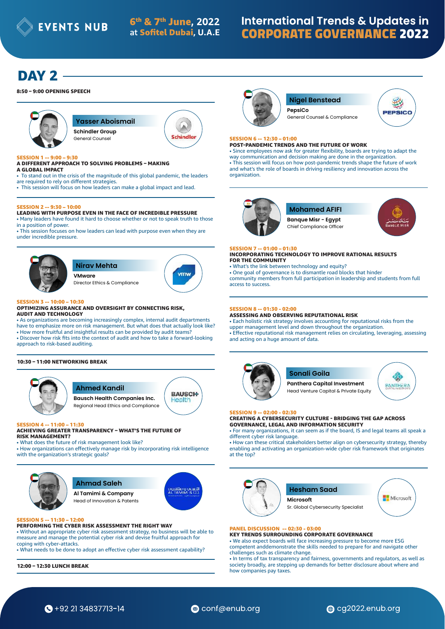# **International Trends & Updates in CORPORATE GOVERNANCE 2022**

# DAY 2

#### 8:50 – 9:00 OPENING SPEECH



**Yasser Aboismail Schindler Group**

A Schindler

## SESSION 1 -- 9:00 – 9:30

#### A DIFFERENT APPROACH TO SOLVING PROBLEMS – MAKING

General Counsel

- A GLOBAL IMPACT • To stand out in the crisis of the magnitude of this global pandemic, the leaders
- are required to rely on different strategies. • This session will focus on how leaders can make a global impact and lead.

#### SESSION 2 -- 9:30 – 10:00

LEADING WITH PURPOSE EVEN IN THE FACE OF INCREDIBLE PRESSURE • Many leaders have found it hard to choose whether or not to speak truth to those in a position of power.

• This session focuses on how leaders can lead with purpose even when they are under incredible pressure.



### **Nirav Mehta VMware**

Director Ethics & Compliance



#### $- 10:00 - 10:30$

#### OPTIMIZING ASSURANCE AND OVERSIGHT BY CONNECTING RISK, AUDIT AND TECHNOLOGY

• As organizations are becoming increasingly complex, internal audit departments have to emphasize more on risk management. But what does that actually look like? • How more fruitful and insightful results can be provided by audit teams?

• Discover how risk fits into the context of audit and how to take a forward-looking approach to risk-based auditing.

#### 10:30 – 11:00 NETWORKING BREAK



## **Ahmed Kandil**

Regional Head Ethics and Compliance **Bausch Health Companies Inc.**

# SESSION 4 -- 11:00 - 11:30

#### ACHIEVING GREATER TRANSPARENCY – WHAT'S THE FUTURE OF RISK MANAGEMENT?

• What does the future of risk management look like? • How organizations can effectively manage risk by incorporating risk intelligence with the organization's strategic goals?



### **Ahmad Saleh**

Head of Innovation & Patents **Al Tamimi & Company**



**BAUSCH-**Health

#### $-12:00$ PERFORMING THE CYBER RISK ASSESSMENT THE RIGHT WAY

• Without an appropriate cyber risk assessment strategy, no business will be able to measure and manage the potential cyber risk and devise fruitful approach for coping with cyber-attacks.

• What needs to be done to adopt an effective cyber risk assessment capability?

12:00 – 12:30 LUNCH BREAK



#### **Nigel Benstead PepsiCo**

General Counsel & Compliance



#### SESSION 6 -- 12:30 – 01:00

POST-PANDEMIC TRENDS AND THE FUTURE OF WORK • Since employees now ask for greater flexibility, boards are trying to adapt the way communication and decision making are done in the organization. • This session will focus on how post-pandemic trends shape the future of work and what's the role of boards in driving resiliency and innovation across the organization.



# **Mohamed AFIFI**

Chief Compliance Officer **Banque Misr - Egypt**



### SESSION 7 -- 01:00 – 01:30

#### INCORPORATING TECHNOLOGY TO IMPROVE RATIONAL RESULTS FOR THE COMMUNITY

• What's the link between technology and equity?

• One goal of governance is to dismantle road blocks that hinder community members from full participation in leadership and students from full access to success.

### SESSION 8 -- 01:30 - 02:00

# ASSESSING AND OBSERVING REPUTATIONAL RISK

• Each holistic risk strategy involves accounting for reputational risks from the upper management level and down throughout the organization. • Effective reputational risk management relies on circulating, leveraging, assessing and acting on a huge amount of data.



### **Sonali Goila**

**PANTHERA** Head Venture Capital & Private Equity



#### SESSION 9 -- 02:00 - 02:30 CREATING A CYBERSECURITY CULTURE - BRIDGING THE GAP ACROSS GOVERNANCE, LEGAL AND INFORMATION SECURITY

**Panthera Capital Investment**

• For many organizations, it can seem as if the board, IS and legal teams all speak a different cyber risk language.

• How can these critical stakeholders better align on cybersecurity strategy, thereby enabling and activating an organization-wide cyber risk framework that originates at the top?



### PANEL DISCUSSION -- 02:30 - 03:00

KEY TRENDS SURROUNDING CORPORATE GOVERNANCE • We also expect boards will face increasing pressure to become more ESG competent anddemonstrate the skills needed to prepare for and navigate other challenges such as climate change.

• In terms of tax transparency and fairness, governments and regulators, as well as society broadly, are stepping up demands for better disclosure about where and how companies pay taxes.